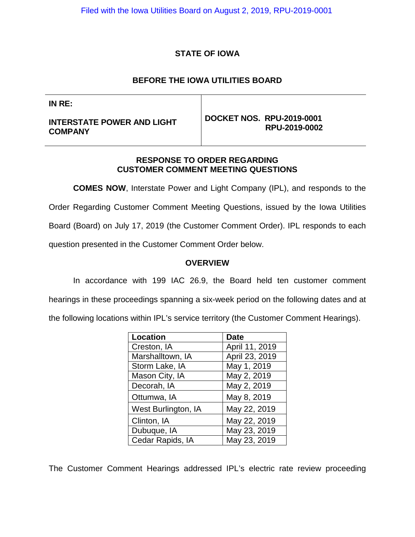# **STATE OF IOWA**

# **BEFORE THE IOWA UTILITIES BOARD**

**IN RE:**

**INTERSTATE POWER AND LIGHT COMPANY**

**DOCKET NOS. RPU-2019-0001 RPU-2019-0002** 

## **RESPONSE TO ORDER REGARDING CUSTOMER COMMENT MEETING QUESTIONS**

**COMES NOW**, Interstate Power and Light Company (IPL), and responds to the Order Regarding Customer Comment Meeting Questions, issued by the Iowa Utilities Board (Board) on July 17, 2019 (the Customer Comment Order). IPL responds to each question presented in the Customer Comment Order below.

## **OVERVIEW**

In accordance with 199 IAC 26.9, the Board held ten customer comment hearings in these proceedings spanning a six-week period on the following dates and at the following locations within IPL's service territory (the Customer Comment Hearings).

| Location            | <b>Date</b>    |  |  |
|---------------------|----------------|--|--|
| Creston, IA         | April 11, 2019 |  |  |
| Marshalltown, IA    | April 23, 2019 |  |  |
| Storm Lake, IA      | May 1, 2019    |  |  |
| Mason City, IA      | May 2, 2019    |  |  |
| Decorah, IA         | May 2, 2019    |  |  |
| Ottumwa, IA         | May 8, 2019    |  |  |
| West Burlington, IA | May 22, 2019   |  |  |
| Clinton, IA         | May 22, 2019   |  |  |
| Dubuque, IA         | May 23, 2019   |  |  |
| Cedar Rapids, IA    | May 23, 2019   |  |  |

The Customer Comment Hearings addressed IPL's electric rate review proceeding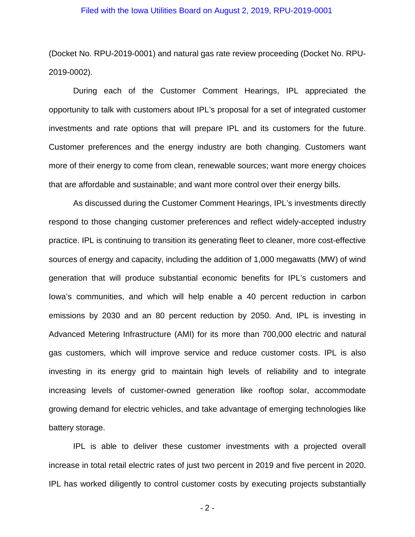(Docket No. RPU-2019-0001) and natural gas rate review proceeding (Docket No. RPU-2019-0002).

During each of the Customer Comment Hearings, IPL appreciated the opportunity to talk with customers about IPL's proposal for a set of integrated customer investments and rate options that will prepare IPL and its customers for the future. Customer preferences and the energy industry are both changing. Customers want more of their energy to come from clean, renewable sources; want more energy choices that are affordable and sustainable; and want more control over their energy bills.

As discussed during the Customer Comment Hearings, IPL's investments directly respond to those changing customer preferences and reflect widely-accepted industry practice. IPL is continuing to transition its generating fleet to cleaner, more cost-effective sources of energy and capacity, including the addition of 1,000 megawatts (MW) of wind generation that will produce substantial economic benefits for IPL's customers and Iowa's communities, and which will help enable a 40 percent reduction in carbon emissions by 2030 and an 80 percent reduction by 2050. And, IPL is investing in Advanced Metering Infrastructure (AMI) for its more than 700,000 electric and natural gas customers, which will improve service and reduce customer costs. IPL is also investing in its energy grid to maintain high levels of reliability and to integrate increasing levels of customer-owned generation like rooftop solar, accommodate growing demand for electric vehicles, and take advantage of emerging technologies like battery storage.

IPL is able to deliver these customer investments with a projected overall increase in total retail electric rates of just two percent in 2019 and five percent in 2020. IPL has worked diligently to control customer costs by executing projects substantially

- 2 -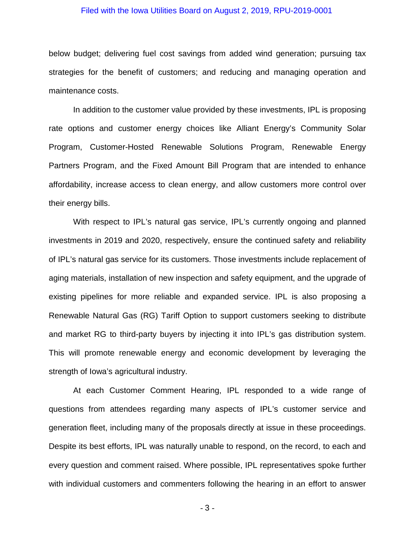below budget; delivering fuel cost savings from added wind generation; pursuing tax strategies for the benefit of customers; and reducing and managing operation and maintenance costs.

In addition to the customer value provided by these investments, IPL is proposing rate options and customer energy choices like Alliant Energy's Community Solar Program, Customer-Hosted Renewable Solutions Program, Renewable Energy Partners Program, and the Fixed Amount Bill Program that are intended to enhance affordability, increase access to clean energy, and allow customers more control over their energy bills.

With respect to IPL's natural gas service, IPL's currently ongoing and planned investments in 2019 and 2020, respectively, ensure the continued safety and reliability of IPL's natural gas service for its customers. Those investments include replacement of aging materials, installation of new inspection and safety equipment, and the upgrade of existing pipelines for more reliable and expanded service. IPL is also proposing a Renewable Natural Gas (RG) Tariff Option to support customers seeking to distribute and market RG to third-party buyers by injecting it into IPL's gas distribution system. This will promote renewable energy and economic development by leveraging the strength of Iowa's agricultural industry.

At each Customer Comment Hearing, IPL responded to a wide range of questions from attendees regarding many aspects of IPL's customer service and generation fleet, including many of the proposals directly at issue in these proceedings. Despite its best efforts, IPL was naturally unable to respond, on the record, to each and every question and comment raised. Where possible, IPL representatives spoke further with individual customers and commenters following the hearing in an effort to answer

- 3 -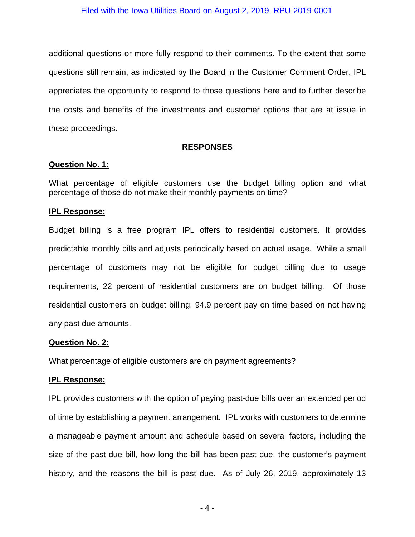additional questions or more fully respond to their comments. To the extent that some questions still remain, as indicated by the Board in the Customer Comment Order, IPL appreciates the opportunity to respond to those questions here and to further describe the costs and benefits of the investments and customer options that are at issue in these proceedings.

## **RESPONSES**

## **Question No. 1:**

What percentage of eligible customers use the budget billing option and what percentage of those do not make their monthly payments on time?

## **IPL Response:**

Budget billing is a free program IPL offers to residential customers. It provides predictable monthly bills and adjusts periodically based on actual usage. While a small percentage of customers may not be eligible for budget billing due to usage requirements, 22 percent of residential customers are on budget billing. Of those residential customers on budget billing, 94.9 percent pay on time based on not having any past due amounts.

## **Question No. 2:**

What percentage of eligible customers are on payment agreements?

## **IPL Response:**

IPL provides customers with the option of paying past-due bills over an extended period of time by establishing a payment arrangement. IPL works with customers to determine a manageable payment amount and schedule based on several factors, including the size of the past due bill, how long the bill has been past due, the customer's payment history, and the reasons the bill is past due. As of July 26, 2019, approximately 13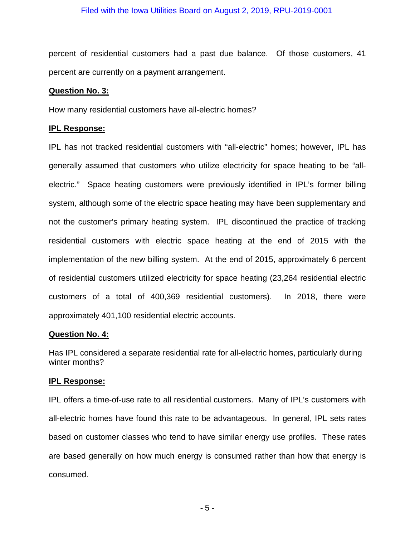percent of residential customers had a past due balance. Of those customers, 41 percent are currently on a payment arrangement.

#### **Question No. 3:**

How many residential customers have all-electric homes?

### **IPL Response:**

IPL has not tracked residential customers with "all-electric" homes; however, IPL has generally assumed that customers who utilize electricity for space heating to be "allelectric." Space heating customers were previously identified in IPL's former billing system, although some of the electric space heating may have been supplementary and not the customer's primary heating system. IPL discontinued the practice of tracking residential customers with electric space heating at the end of 2015 with the implementation of the new billing system. At the end of 2015, approximately 6 percent of residential customers utilized electricity for space heating (23,264 residential electric customers of a total of 400,369 residential customers). In 2018, there were approximately 401,100 residential electric accounts.

### **Question No. 4:**

Has IPL considered a separate residential rate for all-electric homes, particularly during winter months?

#### **IPL Response:**

IPL offers a time-of-use rate to all residential customers. Many of IPL's customers with all-electric homes have found this rate to be advantageous. In general, IPL sets rates based on customer classes who tend to have similar energy use profiles. These rates are based generally on how much energy is consumed rather than how that energy is consumed.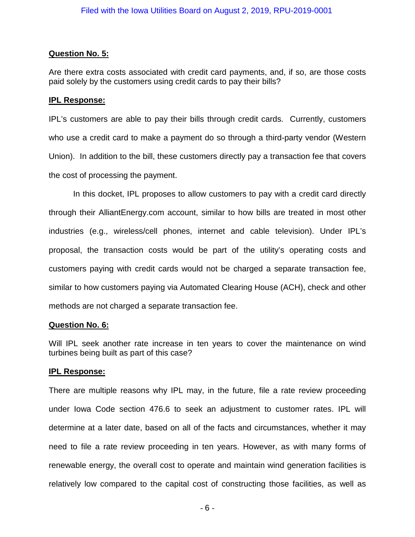# **Question No. 5:**

Are there extra costs associated with credit card payments, and, if so, are those costs paid solely by the customers using credit cards to pay their bills?

# **IPL Response:**

IPL's customers are able to pay their bills through credit cards. Currently, customers who use a credit card to make a payment do so through a third-party vendor (Western Union). In addition to the bill, these customers directly pay a transaction fee that covers the cost of processing the payment.

In this docket, IPL proposes to allow customers to pay with a credit card directly through their AlliantEnergy.com account, similar to how bills are treated in most other industries (e.g., wireless/cell phones, internet and cable television). Under IPL's proposal, the transaction costs would be part of the utility's operating costs and customers paying with credit cards would not be charged a separate transaction fee, similar to how customers paying via Automated Clearing House (ACH), check and other methods are not charged a separate transaction fee.

# **Question No. 6:**

Will IPL seek another rate increase in ten years to cover the maintenance on wind turbines being built as part of this case?

# **IPL Response:**

There are multiple reasons why IPL may, in the future, file a rate review proceeding under Iowa Code section 476.6 to seek an adjustment to customer rates. IPL will determine at a later date, based on all of the facts and circumstances, whether it may need to file a rate review proceeding in ten years. However, as with many forms of renewable energy, the overall cost to operate and maintain wind generation facilities is relatively low compared to the capital cost of constructing those facilities, as well as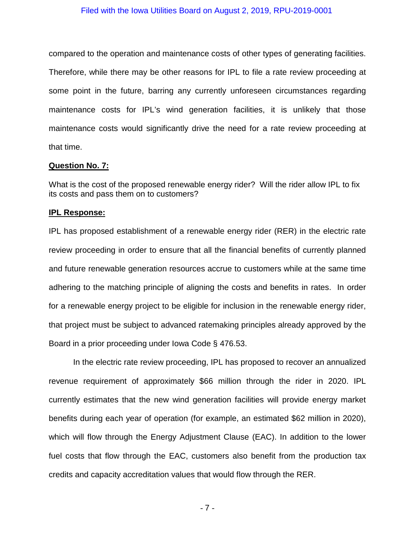compared to the operation and maintenance costs of other types of generating facilities. Therefore, while there may be other reasons for IPL to file a rate review proceeding at some point in the future, barring any currently unforeseen circumstances regarding maintenance costs for IPL's wind generation facilities, it is unlikely that those maintenance costs would significantly drive the need for a rate review proceeding at that time.

#### **Question No. 7:**

What is the cost of the proposed renewable energy rider? Will the rider allow IPL to fix its costs and pass them on to customers?

#### **IPL Response:**

IPL has proposed establishment of a renewable energy rider (RER) in the electric rate review proceeding in order to ensure that all the financial benefits of currently planned and future renewable generation resources accrue to customers while at the same time adhering to the matching principle of aligning the costs and benefits in rates. In order for a renewable energy project to be eligible for inclusion in the renewable energy rider, that project must be subject to advanced ratemaking principles already approved by the Board in a prior proceeding under Iowa Code § 476.53.

In the electric rate review proceeding, IPL has proposed to recover an annualized revenue requirement of approximately \$66 million through the rider in 2020. IPL currently estimates that the new wind generation facilities will provide energy market benefits during each year of operation (for example, an estimated \$62 million in 2020), which will flow through the Energy Adjustment Clause (EAC). In addition to the lower fuel costs that flow through the EAC, customers also benefit from the production tax credits and capacity accreditation values that would flow through the RER.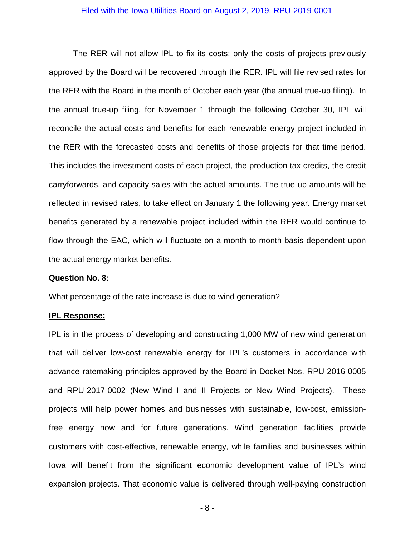The RER will not allow IPL to fix its costs; only the costs of projects previously approved by the Board will be recovered through the RER. IPL will file revised rates for the RER with the Board in the month of October each year (the annual true-up filing). In the annual true-up filing, for November 1 through the following October 30, IPL will reconcile the actual costs and benefits for each renewable energy project included in the RER with the forecasted costs and benefits of those projects for that time period. This includes the investment costs of each project, the production tax credits, the credit carryforwards, and capacity sales with the actual amounts. The true-up amounts will be reflected in revised rates, to take effect on January 1 the following year. Energy market benefits generated by a renewable project included within the RER would continue to flow through the EAC, which will fluctuate on a month to month basis dependent upon the actual energy market benefits.

#### **Question No. 8:**

What percentage of the rate increase is due to wind generation?

#### **IPL Response:**

IPL is in the process of developing and constructing 1,000 MW of new wind generation that will deliver low-cost renewable energy for IPL's customers in accordance with advance ratemaking principles approved by the Board in Docket Nos. RPU-2016-0005 and RPU-2017-0002 (New Wind I and II Projects or New Wind Projects). These projects will help power homes and businesses with sustainable, low-cost, emissionfree energy now and for future generations. Wind generation facilities provide customers with cost-effective, renewable energy, while families and businesses within Iowa will benefit from the significant economic development value of IPL's wind expansion projects. That economic value is delivered through well-paying construction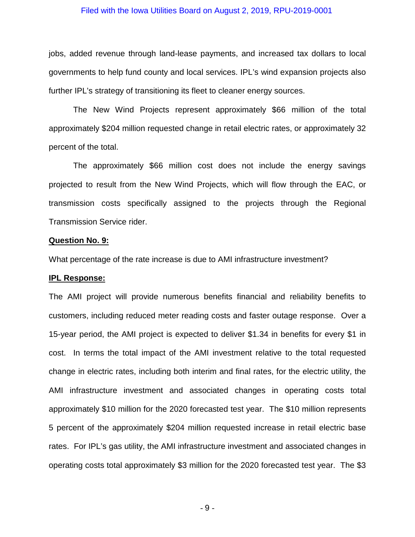jobs, added revenue through land-lease payments, and increased tax dollars to local governments to help fund county and local services. IPL's wind expansion projects also further IPL's strategy of transitioning its fleet to cleaner energy sources.

The New Wind Projects represent approximately \$66 million of the total approximately \$204 million requested change in retail electric rates, or approximately 32 percent of the total.

The approximately \$66 million cost does not include the energy savings projected to result from the New Wind Projects, which will flow through the EAC, or transmission costs specifically assigned to the projects through the Regional Transmission Service rider.

#### **Question No. 9:**

What percentage of the rate increase is due to AMI infrastructure investment?

#### **IPL Response:**

The AMI project will provide numerous benefits financial and reliability benefits to customers, including reduced meter reading costs and faster outage response. Over a 15-year period, the AMI project is expected to deliver \$1.34 in benefits for every \$1 in cost. In terms the total impact of the AMI investment relative to the total requested change in electric rates, including both interim and final rates, for the electric utility, the AMI infrastructure investment and associated changes in operating costs total approximately \$10 million for the 2020 forecasted test year. The \$10 million represents 5 percent of the approximately \$204 million requested increase in retail electric base rates. For IPL's gas utility, the AMI infrastructure investment and associated changes in operating costs total approximately \$3 million for the 2020 forecasted test year. The \$3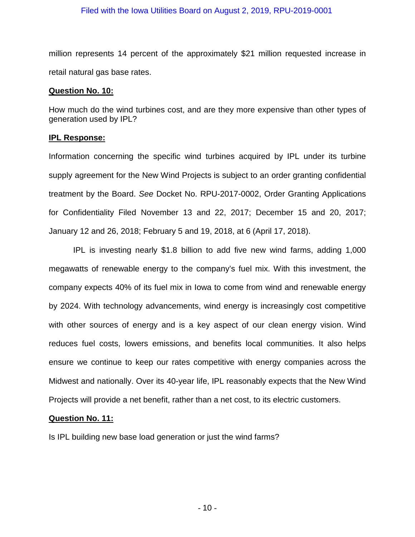million represents 14 percent of the approximately \$21 million requested increase in retail natural gas base rates.

#### **Question No. 10:**

How much do the wind turbines cost, and are they more expensive than other types of generation used by IPL?

### **IPL Response:**

Information concerning the specific wind turbines acquired by IPL under its turbine supply agreement for the New Wind Projects is subject to an order granting confidential treatment by the Board. *See* Docket No. RPU-2017-0002, Order Granting Applications for Confidentiality Filed November 13 and 22, 2017; December 15 and 20, 2017; January 12 and 26, 2018; February 5 and 19, 2018, at 6 (April 17, 2018).

IPL is investing nearly \$1.8 billion to add five new wind farms, adding 1,000 megawatts of renewable energy to the company's fuel mix. With this investment, the company expects 40% of its fuel mix in Iowa to come from wind and renewable energy by 2024. With technology advancements, wind energy is increasingly cost competitive with other sources of energy and is a key aspect of our clean energy vision. Wind reduces fuel costs, lowers emissions, and benefits local communities. It also helps ensure we continue to keep our rates competitive with energy companies across the Midwest and nationally. Over its 40-year life, IPL reasonably expects that the New Wind Projects will provide a net benefit, rather than a net cost, to its electric customers.

#### **Question No. 11:**

Is IPL building new base load generation or just the wind farms?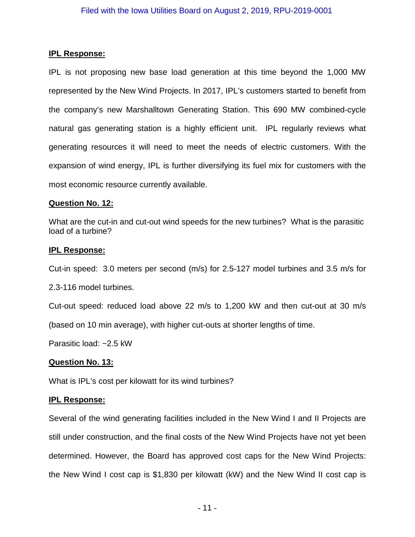## **IPL Response:**

IPL is not proposing new base load generation at this time beyond the 1,000 MW represented by the New Wind Projects. In 2017, IPL's customers started to benefit from the company's new Marshalltown Generating Station. This 690 MW combined-cycle natural gas generating station is a highly efficient unit. IPL regularly reviews what generating resources it will need to meet the needs of electric customers. With the expansion of wind energy, IPL is further diversifying its fuel mix for customers with the most economic resource currently available.

## **Question No. 12:**

What are the cut-in and cut-out wind speeds for the new turbines? What is the parasitic load of a turbine?

## **IPL Response:**

Cut-in speed: 3.0 meters per second (m/s) for 2.5-127 model turbines and 3.5 m/s for

2.3-116 model turbines.

Cut-out speed: reduced load above 22 m/s to 1,200 kW and then cut-out at 30 m/s (based on 10 min average), with higher cut-outs at shorter lengths of time.

Parasitic load: ~2.5 kW

## **Question No. 13:**

What is IPL's cost per kilowatt for its wind turbines?

## **IPL Response:**

Several of the wind generating facilities included in the New Wind I and II Projects are still under construction, and the final costs of the New Wind Projects have not yet been determined. However, the Board has approved cost caps for the New Wind Projects: the New Wind I cost cap is \$1,830 per kilowatt (kW) and the New Wind II cost cap is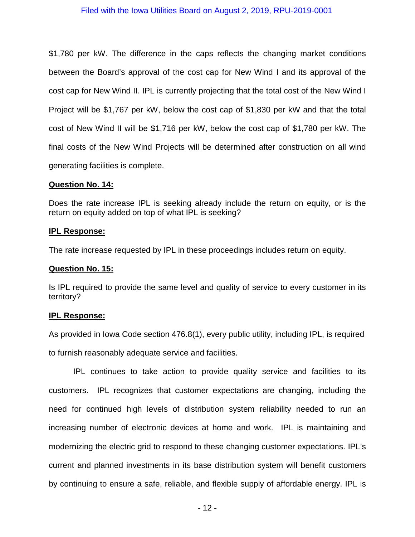\$1,780 per kW. The difference in the caps reflects the changing market conditions between the Board's approval of the cost cap for New Wind I and its approval of the cost cap for New Wind II. IPL is currently projecting that the total cost of the New Wind I Project will be \$1,767 per kW, below the cost cap of \$1,830 per kW and that the total cost of New Wind II will be \$1,716 per kW, below the cost cap of \$1,780 per kW. The final costs of the New Wind Projects will be determined after construction on all wind generating facilities is complete.

### **Question No. 14:**

Does the rate increase IPL is seeking already include the return on equity, or is the return on equity added on top of what IPL is seeking?

### **IPL Response:**

The rate increase requested by IPL in these proceedings includes return on equity.

### **Question No. 15:**

Is IPL required to provide the same level and quality of service to every customer in its territory?

## **IPL Response:**

As provided in Iowa Code section 476.8(1), every public utility, including IPL, is required

to furnish reasonably adequate service and facilities.

IPL continues to take action to provide quality service and facilities to its customers. IPL recognizes that customer expectations are changing, including the need for continued high levels of distribution system reliability needed to run an increasing number of electronic devices at home and work. IPL is maintaining and modernizing the electric grid to respond to these changing customer expectations. IPL's current and planned investments in its base distribution system will benefit customers by continuing to ensure a safe, reliable, and flexible supply of affordable energy. IPL is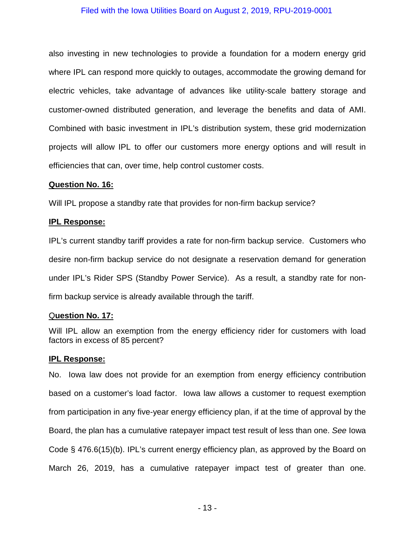also investing in new technologies to provide a foundation for a modern energy grid where IPL can respond more quickly to outages, accommodate the growing demand for electric vehicles, take advantage of advances like utility-scale battery storage and customer-owned distributed generation, and leverage the benefits and data of AMI. Combined with basic investment in IPL's distribution system, these grid modernization projects will allow IPL to offer our customers more energy options and will result in efficiencies that can, over time, help control customer costs.

### **Question No. 16:**

Will IPL propose a standby rate that provides for non-firm backup service?

### **IPL Response:**

IPL's current standby tariff provides a rate for non-firm backup service. Customers who desire non-firm backup service do not designate a reservation demand for generation under IPL's Rider SPS (Standby Power Service). As a result, a standby rate for nonfirm backup service is already available through the tariff.

## Q**uestion No. 17:**

Will IPL allow an exemption from the energy efficiency rider for customers with load factors in excess of 85 percent?

## **IPL Response:**

No. Iowa law does not provide for an exemption from energy efficiency contribution based on a customer's load factor. Iowa law allows a customer to request exemption from participation in any five-year energy efficiency plan, if at the time of approval by the Board, the plan has a cumulative ratepayer impact test result of less than one. *See* Iowa Code § 476.6(15)(b). IPL's current energy efficiency plan, as approved by the Board on March 26, 2019, has a cumulative ratepayer impact test of greater than one.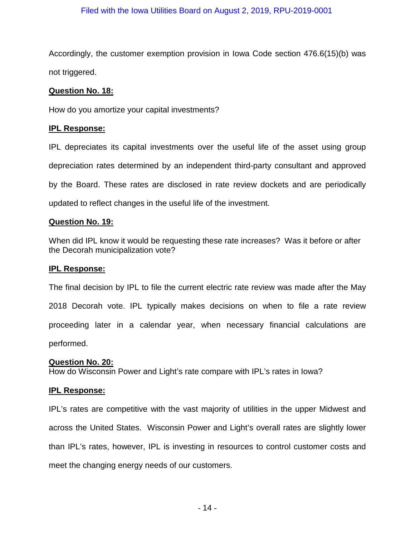Accordingly, the customer exemption provision in Iowa Code section 476.6(15)(b) was not triggered.

## **Question No. 18:**

How do you amortize your capital investments?

## **IPL Response:**

IPL depreciates its capital investments over the useful life of the asset using group depreciation rates determined by an independent third-party consultant and approved by the Board. These rates are disclosed in rate review dockets and are periodically updated to reflect changes in the useful life of the investment.

## **Question No. 19:**

When did IPL know it would be requesting these rate increases? Was it before or after the Decorah municipalization vote?

### **IPL Response:**

The final decision by IPL to file the current electric rate review was made after the May 2018 Decorah vote. IPL typically makes decisions on when to file a rate review proceeding later in a calendar year, when necessary financial calculations are performed.

#### **Question No. 20:**

How do Wisconsin Power and Light's rate compare with IPL's rates in Iowa?

## **IPL Response:**

IPL's rates are competitive with the vast majority of utilities in the upper Midwest and across the United States. Wisconsin Power and Light's overall rates are slightly lower than IPL's rates, however, IPL is investing in resources to control customer costs and meet the changing energy needs of our customers.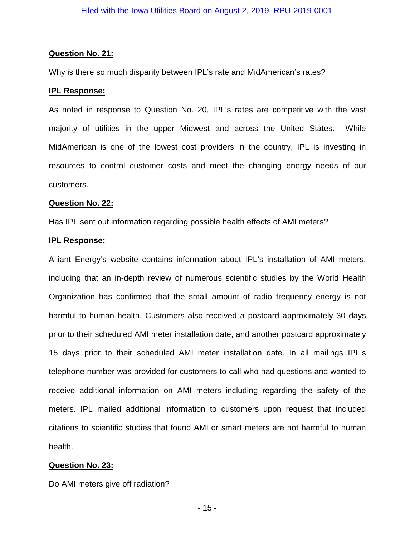### **Question No. 21:**

Why is there so much disparity between IPL's rate and MidAmerican's rates?

### **IPL Response:**

As noted in response to Question No. 20, IPL's rates are competitive with the vast majority of utilities in the upper Midwest and across the United States. While MidAmerican is one of the lowest cost providers in the country, IPL is investing in resources to control customer costs and meet the changing energy needs of our customers.

### **Question No. 22:**

Has IPL sent out information regarding possible health effects of AMI meters?

### **IPL Response:**

Alliant Energy's website contains information about IPL's installation of AMI meters, including that an in-depth review of numerous scientific studies by the World Health Organization has confirmed that the small amount of radio frequency energy is not harmful to human health. Customers also received a postcard approximately 30 days prior to their scheduled AMI meter installation date, and another postcard approximately 15 days prior to their scheduled AMI meter installation date. In all mailings IPL's telephone number was provided for customers to call who had questions and wanted to receive additional information on AMI meters including regarding the safety of the meters. IPL mailed additional information to customers upon request that included citations to scientific studies that found AMI or smart meters are not harmful to human health.

## **Question No. 23:**

Do AMI meters give off radiation?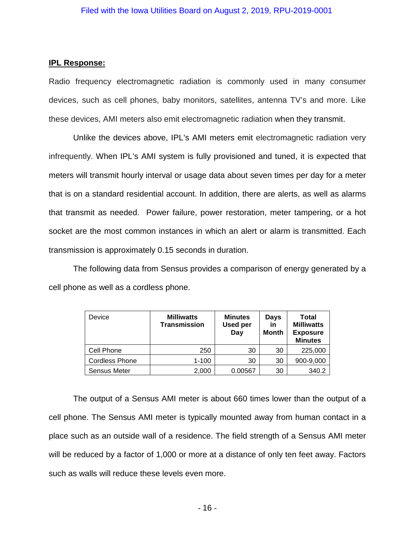## **IPL Response:**

Radio frequency electromagnetic radiation is commonly used in many consumer devices, such as cell phones, baby monitors, satellites, antenna TV's and more. Like these devices, AMI meters also emit electromagnetic radiation when they transmit.

Unlike the devices above, IPL's AMI meters emit electromagnetic radiation very infrequently. When IPL's AMI system is fully provisioned and tuned, it is expected that meters will transmit hourly interval or usage data about seven times per day for a meter that is on a standard residential account. In addition, there are alerts, as well as alarms that transmit as needed. Power failure, power restoration, meter tampering, or a hot socket are the most common instances in which an alert or alarm is transmitted. Each transmission is approximately 0.15 seconds in duration.

The following data from Sensus provides a comparison of energy generated by a cell phone as well as a cordless phone.

| Device                | <b>Milliwatts</b><br><b>Transmission</b> | <b>Minutes</b><br><b>Used per</b><br>Day | Days<br>in<br><b>Month</b> | Total<br><b>Milliwatts</b><br><b>Exposure</b><br><b>Minutes</b> |
|-----------------------|------------------------------------------|------------------------------------------|----------------------------|-----------------------------------------------------------------|
| Cell Phone            | 250                                      | 30                                       | 30                         | 225,000                                                         |
| <b>Cordless Phone</b> | $1 - 100$                                | 30                                       | 30                         | 900-9,000                                                       |
| Sensus Meter          | 2,000                                    | 0.00567                                  | 30                         | 340.2                                                           |

The output of a Sensus AMI meter is about 660 times lower than the output of a cell phone. The Sensus AMI meter is typically mounted away from human contact in a place such as an outside wall of a residence. The field strength of a Sensus AMI meter will be reduced by a factor of 1,000 or more at a distance of only ten feet away. Factors such as walls will reduce these levels even more.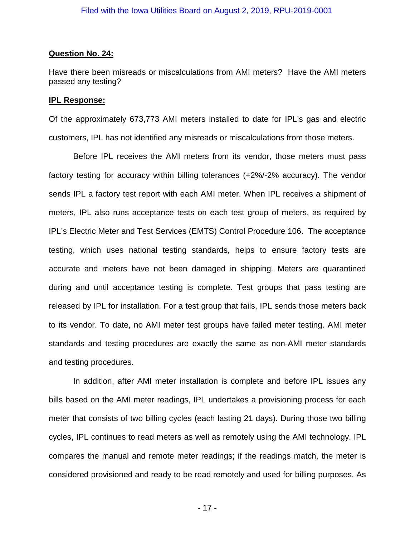### **Question No. 24:**

Have there been misreads or miscalculations from AMI meters? Have the AMI meters passed any testing?

### **IPL Response:**

Of the approximately 673,773 AMI meters installed to date for IPL's gas and electric customers, IPL has not identified any misreads or miscalculations from those meters.

Before IPL receives the AMI meters from its vendor, those meters must pass factory testing for accuracy within billing tolerances (+2%/-2% accuracy). The vendor sends IPL a factory test report with each AMI meter. When IPL receives a shipment of meters, IPL also runs acceptance tests on each test group of meters, as required by IPL's Electric Meter and Test Services (EMTS) Control Procedure 106. The acceptance testing, which uses national testing standards, helps to ensure factory tests are accurate and meters have not been damaged in shipping. Meters are quarantined during and until acceptance testing is complete. Test groups that pass testing are released by IPL for installation. For a test group that fails, IPL sends those meters back to its vendor. To date, no AMI meter test groups have failed meter testing. AMI meter standards and testing procedures are exactly the same as non-AMI meter standards and testing procedures.

In addition, after AMI meter installation is complete and before IPL issues any bills based on the AMI meter readings, IPL undertakes a provisioning process for each meter that consists of two billing cycles (each lasting 21 days). During those two billing cycles, IPL continues to read meters as well as remotely using the AMI technology. IPL compares the manual and remote meter readings; if the readings match, the meter is considered provisioned and ready to be read remotely and used for billing purposes. As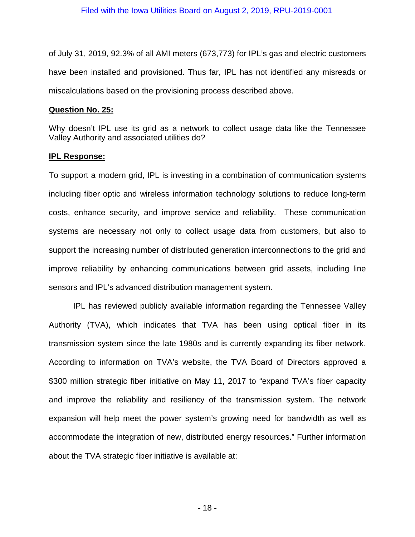of July 31, 2019, 92.3% of all AMI meters (673,773) for IPL's gas and electric customers have been installed and provisioned. Thus far, IPL has not identified any misreads or miscalculations based on the provisioning process described above.

### **Question No. 25:**

Why doesn't IPL use its grid as a network to collect usage data like the Tennessee Valley Authority and associated utilities do?

## **IPL Response:**

To support a modern grid, IPL is investing in a combination of communication systems including fiber optic and wireless information technology solutions to reduce long-term costs, enhance security, and improve service and reliability. These communication systems are necessary not only to collect usage data from customers, but also to support the increasing number of distributed generation interconnections to the grid and improve reliability by enhancing communications between grid assets, including line sensors and IPL's advanced distribution management system.

IPL has reviewed publicly available information regarding the Tennessee Valley Authority (TVA), which indicates that TVA has been using optical fiber in its transmission system since the late 1980s and is currently expanding its fiber network. According to information on TVA's website, the TVA Board of Directors approved a \$300 million strategic fiber initiative on May 11, 2017 to "expand TVA's fiber capacity and improve the reliability and resiliency of the transmission system. The network expansion will help meet the power system's growing need for bandwidth as well as accommodate the integration of new, distributed energy resources." Further information about the TVA strategic fiber initiative is available at: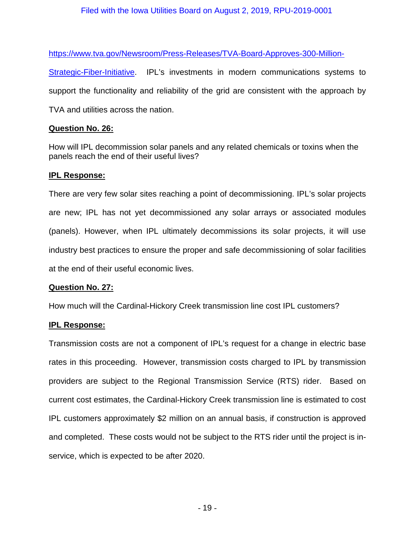[https://www.tva.gov/Newsroom/Press-Releases/TVA-Board-Approves-300-Million-](https://www.tva.gov/Newsroom/Press-Releases/TVA-Board-Approves-300-Million-Strategic-Fiber-Initiative)

[Strategic-Fiber-Initiative.](https://www.tva.gov/Newsroom/Press-Releases/TVA-Board-Approves-300-Million-Strategic-Fiber-Initiative) IPL's investments in modern communications systems to support the functionality and reliability of the grid are consistent with the approach by TVA and utilities across the nation.

## **Question No. 26:**

How will IPL decommission solar panels and any related chemicals or toxins when the panels reach the end of their useful lives?

## **IPL Response:**

There are very few solar sites reaching a point of decommissioning. IPL's solar projects are new; IPL has not yet decommissioned any solar arrays or associated modules (panels). However, when IPL ultimately decommissions its solar projects, it will use industry best practices to ensure the proper and safe decommissioning of solar facilities at the end of their useful economic lives.

## **Question No. 27:**

How much will the Cardinal-Hickory Creek transmission line cost IPL customers?

## **IPL Response:**

Transmission costs are not a component of IPL's request for a change in electric base rates in this proceeding. However, transmission costs charged to IPL by transmission providers are subject to the Regional Transmission Service (RTS) rider. Based on current cost estimates, the Cardinal-Hickory Creek transmission line is estimated to cost IPL customers approximately \$2 million on an annual basis, if construction is approved and completed. These costs would not be subject to the RTS rider until the project is inservice, which is expected to be after 2020.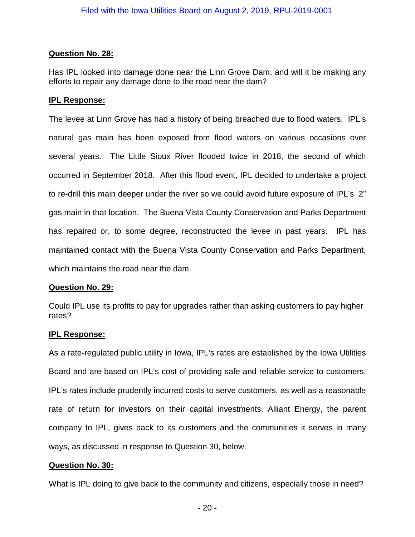## **Question No. 28:**

Has IPL looked into damage done near the Linn Grove Dam, and will it be making any efforts to repair any damage done to the road near the dam?

## **IPL Response:**

The levee at Linn Grove has had a history of being breached due to flood waters. IPL's natural gas main has been exposed from flood waters on various occasions over several years. The Little Sioux River flooded twice in 2018, the second of which occurred in September 2018. After this flood event, IPL decided to undertake a project to re-drill this main deeper under the river so we could avoid future exposure of IPL's 2" gas main in that location. The Buena Vista County Conservation and Parks Department has repaired or, to some degree, reconstructed the levee in past years. IPL has maintained contact with the Buena Vista County Conservation and Parks Department, which maintains the road near the dam.

## **Question No. 29:**

Could IPL use its profits to pay for upgrades rather than asking customers to pay higher rates?

## **IPL Response:**

As a rate-regulated public utility in Iowa, IPL's rates are established by the Iowa Utilities Board and are based on IPL's cost of providing safe and reliable service to customers. IPL's rates include prudently incurred costs to serve customers, as well as a reasonable rate of return for investors on their capital investments. Alliant Energy, the parent company to IPL, gives back to its customers and the communities it serves in many ways, as discussed in response to Question 30, below.

## **Question No. 30:**

What is IPL doing to give back to the community and citizens, especially those in need?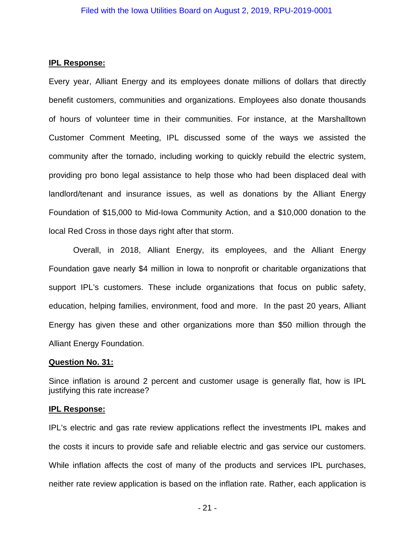### **IPL Response:**

Every year, Alliant Energy and its employees donate millions of dollars that directly benefit customers, communities and organizations. Employees also donate thousands of hours of volunteer time in their communities. For instance, at the Marshalltown Customer Comment Meeting, IPL discussed some of the ways we assisted the community after the tornado, including working to quickly rebuild the electric system, providing pro bono legal assistance to help those who had been displaced deal with landlord/tenant and insurance issues, as well as donations by the Alliant Energy Foundation of \$15,000 to Mid-Iowa Community Action, and a \$10,000 donation to the local Red Cross in those days right after that storm.

Overall, in 2018, Alliant Energy, its employees, and the Alliant Energy Foundation gave nearly \$4 million in Iowa to nonprofit or charitable organizations that support IPL's customers. These include organizations that focus on public safety, education, helping families, environment, food and more. In the past 20 years, Alliant Energy has given these and other organizations more than \$50 million through the Alliant Energy Foundation.

#### **Question No. 31:**

Since inflation is around 2 percent and customer usage is generally flat, how is IPL justifying this rate increase?

## **IPL Response:**

IPL's electric and gas rate review applications reflect the investments IPL makes and the costs it incurs to provide safe and reliable electric and gas service our customers. While inflation affects the cost of many of the products and services IPL purchases, neither rate review application is based on the inflation rate. Rather, each application is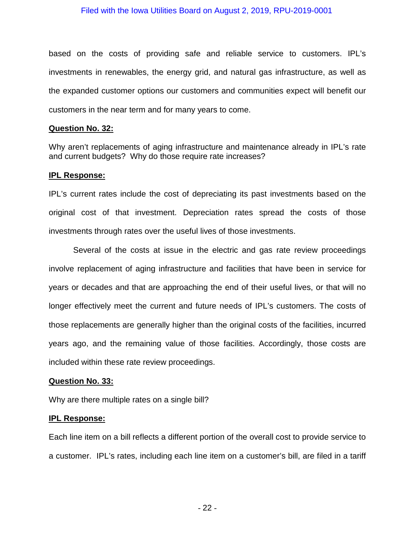based on the costs of providing safe and reliable service to customers. IPL's investments in renewables, the energy grid, and natural gas infrastructure, as well as the expanded customer options our customers and communities expect will benefit our customers in the near term and for many years to come.

#### **Question No. 32:**

Why aren't replacements of aging infrastructure and maintenance already in IPL's rate and current budgets? Why do those require rate increases?

#### **IPL Response:**

IPL's current rates include the cost of depreciating its past investments based on the original cost of that investment. Depreciation rates spread the costs of those investments through rates over the useful lives of those investments.

Several of the costs at issue in the electric and gas rate review proceedings involve replacement of aging infrastructure and facilities that have been in service for years or decades and that are approaching the end of their useful lives, or that will no longer effectively meet the current and future needs of IPL's customers. The costs of those replacements are generally higher than the original costs of the facilities, incurred years ago, and the remaining value of those facilities. Accordingly, those costs are included within these rate review proceedings.

#### **Question No. 33:**

Why are there multiple rates on a single bill?

### **IPL Response:**

Each line item on a bill reflects a different portion of the overall cost to provide service to a customer. IPL's rates, including each line item on a customer's bill, are filed in a tariff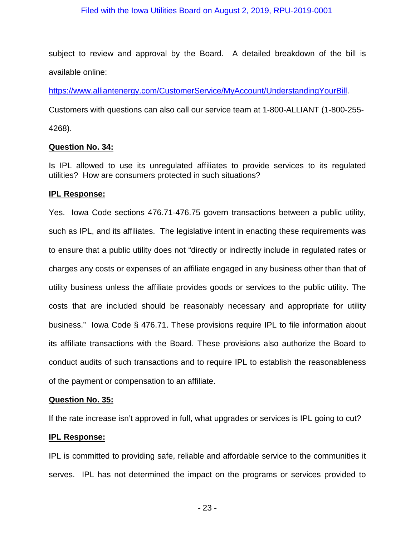subject to review and approval by the Board. A detailed breakdown of the bill is available online:

[https://www.alliantenergy.com/CustomerService/MyAccount/UnderstandingYourBill.](https://www.alliantenergy.com/CustomerService/MyAccount/UnderstandingYourBill)

Customers with questions can also call our service team at 1-800-ALLIANT (1-800-255-

4268).

## **Question No. 34:**

Is IPL allowed to use its unregulated affiliates to provide services to its regulated utilities? How are consumers protected in such situations?

## **IPL Response:**

Yes. Iowa Code sections 476.71-476.75 govern transactions between a public utility, such as IPL, and its affiliates. The legislative intent in enacting these requirements was to ensure that a public utility does not "directly or indirectly include in regulated rates or charges any costs or expenses of an affiliate engaged in any business other than that of utility business unless the affiliate provides goods or services to the public utility. The costs that are included should be reasonably necessary and appropriate for utility business." Iowa Code § 476.71. These provisions require IPL to file information about its affiliate transactions with the Board. These provisions also authorize the Board to conduct audits of such transactions and to require IPL to establish the reasonableness of the payment or compensation to an affiliate.

# **Question No. 35:**

If the rate increase isn't approved in full, what upgrades or services is IPL going to cut?

# **IPL Response:**

IPL is committed to providing safe, reliable and affordable service to the communities it serves. IPL has not determined the impact on the programs or services provided to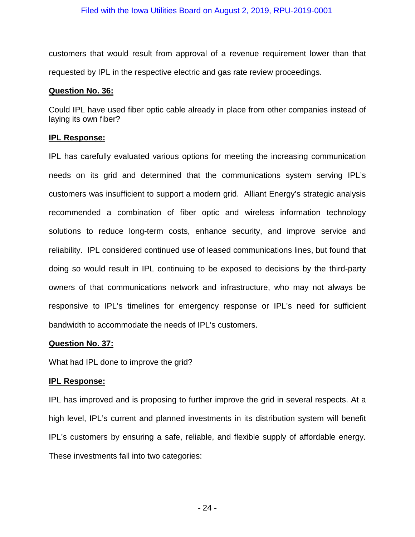customers that would result from approval of a revenue requirement lower than that requested by IPL in the respective electric and gas rate review proceedings.

## **Question No. 36:**

Could IPL have used fiber optic cable already in place from other companies instead of laying its own fiber?

# **IPL Response:**

IPL has carefully evaluated various options for meeting the increasing communication needs on its grid and determined that the communications system serving IPL's customers was insufficient to support a modern grid. Alliant Energy's strategic analysis recommended a combination of fiber optic and wireless information technology solutions to reduce long-term costs, enhance security, and improve service and reliability. IPL considered continued use of leased communications lines, but found that doing so would result in IPL continuing to be exposed to decisions by the third-party owners of that communications network and infrastructure, who may not always be responsive to IPL's timelines for emergency response or IPL's need for sufficient bandwidth to accommodate the needs of IPL's customers.

# **Question No. 37:**

What had IPL done to improve the grid?

# **IPL Response:**

IPL has improved and is proposing to further improve the grid in several respects. At a high level, IPL's current and planned investments in its distribution system will benefit IPL's customers by ensuring a safe, reliable, and flexible supply of affordable energy. These investments fall into two categories: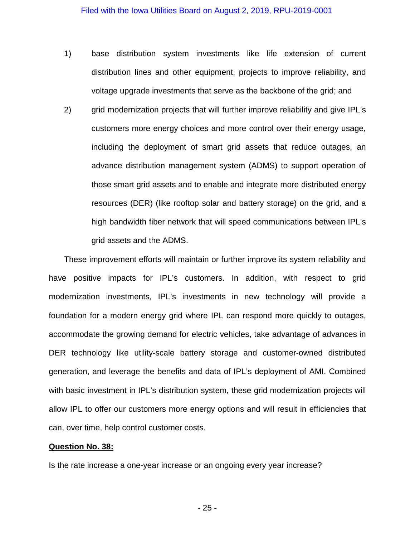- 1) base distribution system investments like life extension of current distribution lines and other equipment, projects to improve reliability, and voltage upgrade investments that serve as the backbone of the grid; and
- 2) grid modernization projects that will further improve reliability and give IPL's customers more energy choices and more control over their energy usage, including the deployment of smart grid assets that reduce outages, an advance distribution management system (ADMS) to support operation of those smart grid assets and to enable and integrate more distributed energy resources (DER) (like rooftop solar and battery storage) on the grid, and a high bandwidth fiber network that will speed communications between IPL's grid assets and the ADMS.

These improvement efforts will maintain or further improve its system reliability and have positive impacts for IPL's customers. In addition, with respect to grid modernization investments, IPL's investments in new technology will provide a foundation for a modern energy grid where IPL can respond more quickly to outages, accommodate the growing demand for electric vehicles, take advantage of advances in DER technology like utility-scale battery storage and customer-owned distributed generation, and leverage the benefits and data of IPL's deployment of AMI. Combined with basic investment in IPL's distribution system, these grid modernization projects will allow IPL to offer our customers more energy options and will result in efficiencies that can, over time, help control customer costs.

#### **Question No. 38:**

Is the rate increase a one-year increase or an ongoing every year increase?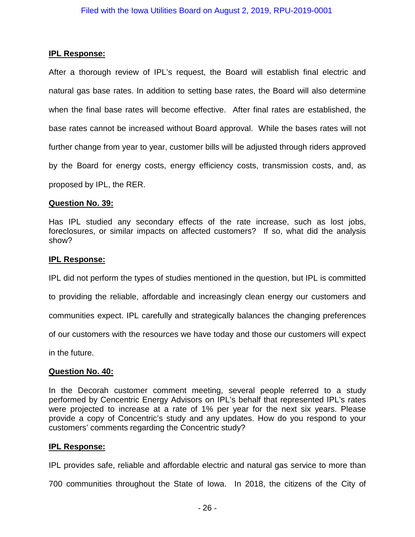## **IPL Response:**

After a thorough review of IPL's request, the Board will establish final electric and natural gas base rates. In addition to setting base rates, the Board will also determine when the final base rates will become effective. After final rates are established, the base rates cannot be increased without Board approval. While the bases rates will not further change from year to year, customer bills will be adjusted through riders approved by the Board for energy costs, energy efficiency costs, transmission costs, and, as proposed by IPL, the RER.

## **Question No. 39:**

Has IPL studied any secondary effects of the rate increase, such as lost jobs, foreclosures, or similar impacts on affected customers? If so, what did the analysis show?

## **IPL Response:**

IPL did not perform the types of studies mentioned in the question, but IPL is committed to providing the reliable, affordable and increasingly clean energy our customers and communities expect. IPL carefully and strategically balances the changing preferences of our customers with the resources we have today and those our customers will expect in the future.

# **Question No. 40:**

In the Decorah customer comment meeting, several people referred to a study performed by Cencentric Energy Advisors on IPL's behalf that represented IPL's rates were projected to increase at a rate of 1% per year for the next six years. Please provide a copy of Concentric's study and any updates. How do you respond to your customers' comments regarding the Concentric study?

## **IPL Response:**

IPL provides safe, reliable and affordable electric and natural gas service to more than

700 communities throughout the State of Iowa. In 2018, the citizens of the City of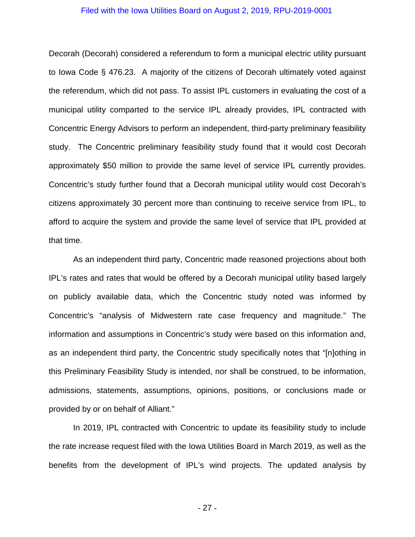Decorah (Decorah) considered a referendum to form a municipal electric utility pursuant to Iowa Code § 476.23. A majority of the citizens of Decorah ultimately voted against the referendum, which did not pass. To assist IPL customers in evaluating the cost of a municipal utility comparted to the service IPL already provides, IPL contracted with Concentric Energy Advisors to perform an independent, third-party preliminary feasibility study. The Concentric preliminary feasibility study found that it would cost Decorah approximately \$50 million to provide the same level of service IPL currently provides. Concentric's study further found that a Decorah municipal utility would cost Decorah's citizens approximately 30 percent more than continuing to receive service from IPL, to afford to acquire the system and provide the same level of service that IPL provided at that time.

As an independent third party, Concentric made reasoned projections about both IPL's rates and rates that would be offered by a Decorah municipal utility based largely on publicly available data, which the Concentric study noted was informed by Concentric's "analysis of Midwestern rate case frequency and magnitude." The information and assumptions in Concentric's study were based on this information and, as an independent third party, the Concentric study specifically notes that "[n]othing in this Preliminary Feasibility Study is intended, nor shall be construed, to be information, admissions, statements, assumptions, opinions, positions, or conclusions made or provided by or on behalf of Alliant."

In 2019, IPL contracted with Concentric to update its feasibility study to include the rate increase request filed with the Iowa Utilities Board in March 2019, as well as the benefits from the development of IPL's wind projects. The updated analysis by

- 27 -